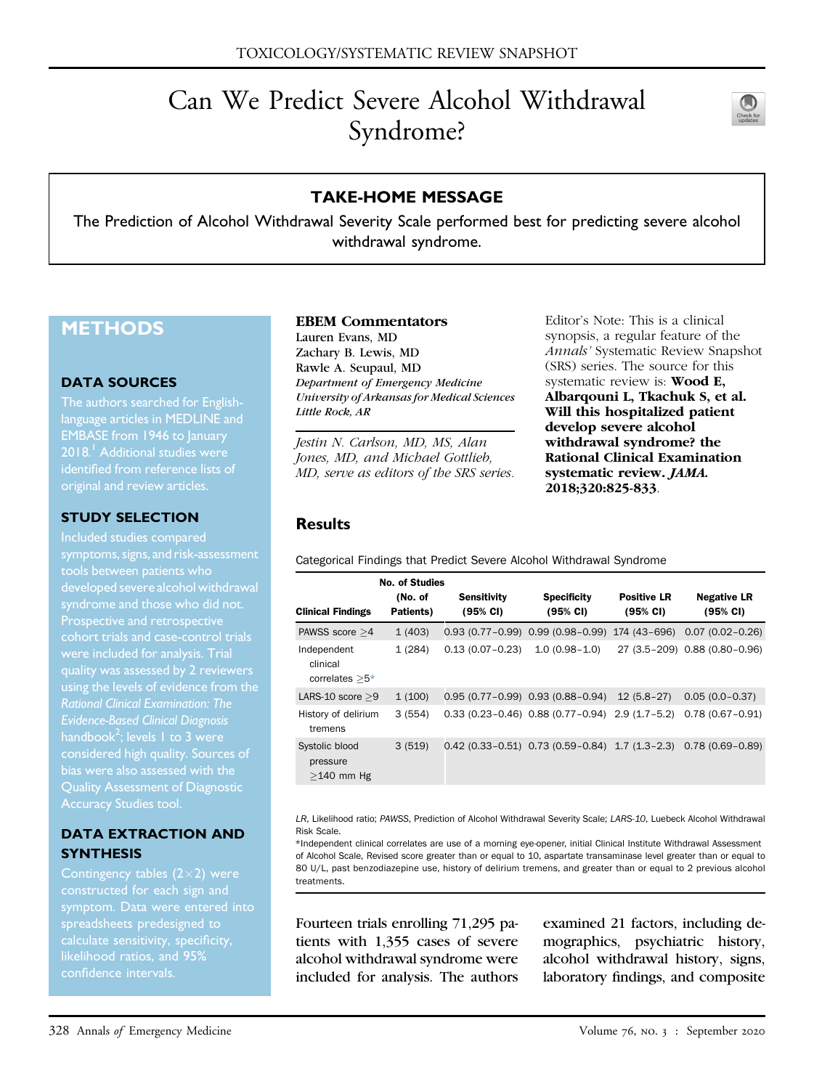# Can We Predict Severe Alcohol Withdrawal Syndrome?



## TAKE-HOME MESSAGE

The Prediction of Alcohol Withdrawal Severity Scale performed best for predicting severe alcohol withdrawal syndrome.

# **METHODS**

#### DATA SOURCES

The authors searched for Englishlanguage articles in MEDLINE and EMBASE from 1946 to January 20[1](#page-1-0)8.<sup>1</sup> Additional studies were identified from reference lists of original and review articles.

#### STUDY SELECTION

symptoms, signs, and risk-assessment Prospective and retrospective cohort trials and case-control trials using the levels of evidence from the Evidence-Based Clinical Diagnosis handbook $^2$  $^2$ ; levels 1 to 3 were considered high quality. Sources of Quality Assessment of Diagnostic

#### DATA EXTRACTION AND **SYNTHESIS**

Contingency tables  $(2\times2)$  were constructed for each sign and spreadsheets predesigned to calculate sensitivity, specificity, confidence intervals.

#### EBEM Commentators

Lauren Evans, MD Zachary B. Lewis, MD Rawle A. Seupaul, MD Department of Emergency Medicine University of Arkansas for Medical Sciences Little Rock, AR

Jestin N. Carlson, MD, MS, Alan Jones, MD, and Michael Gottlieb, MD, serve as editors of the SRS series. Editor's Note: This is a clinical synopsis, a regular feature of the Annals' Systematic Review Snapshot (SRS) series. The source for this systematic review is: Wood E, Albarqouni L, Tkachuk S, et al. Will this hospitalized patient develop severe alcohol withdrawal syndrome? the Rational Clinical Examination systematic review. JAMA. 2018;320:825-833.

### **Results**

Categorical Findings that Predict Severe Alcohol Withdrawal Syndrome

|                                             | <b>No. of Studies</b><br>(No. of | Sensitivity         | <b>Specificity</b>                                                   | <b>Positive LR</b> | <b>Negative LR</b>            |
|---------------------------------------------|----------------------------------|---------------------|----------------------------------------------------------------------|--------------------|-------------------------------|
| <b>Clinical Findings</b>                    | Patients)                        | (95% CI)            | (95% CI)                                                             | $(95% \text{ Cl})$ | (95% CI)                      |
| PAWSS score $>4$                            | 1(403)                           |                     | $0.93(0.77-0.99)$ $0.99(0.98-0.99)$                                  | 174 (43–696)       | $0.07(0.02 - 0.26)$           |
| Independent<br>clinical<br>correlates $>5*$ | 1(284)                           | $0.13(0.07 - 0.23)$ | $1.0(0.98-1.0)$                                                      |                    | 27 (3.5-209) 0.88 (0.80-0.96) |
| LARS-10 score $>9$                          | 1(100)                           |                     | $0.95(0.77-0.99)$ 0.93 $(0.88-0.94)$                                 | $12(5.8-27)$       | $0.05(0.0 - 0.37)$            |
| History of delirium<br>tremens              | 3(554)                           |                     | $0.33(0.23-0.46)$ $0.88(0.77-0.94)$ 2.9 $(1.7-5.2)$                  |                    | $0.78(0.67 - 0.91)$           |
| Systolic blood<br>pressure<br>$>140$ mm Hg  | 3(519)                           |                     | $0.42$ (0.33-0.51) $0.73$ (0.59-0.84) 1.7 (1.3-2.3) 0.78 (0.69-0.89) |                    |                               |

LR, Likelihood ratio; PAWSS, Prediction of Alcohol Withdrawal Severity Scale; LARS-10, Luebeck Alcohol Withdrawal Risk Scale.

<span id="page-0-0"></span>\*Independent clinical correlates are use of a morning eye-opener, initial Clinical Institute Withdrawal Assessment of Alcohol Scale, Revised score greater than or equal to 10, aspartate transaminase level greater than or equal to 80 U/L, past benzodiazepine use, history of delirium tremens, and greater than or equal to 2 previous alcohol treatments.

Fourteen trials enrolling 71,295 patients with 1,355 cases of severe alcohol withdrawal syndrome were included for analysis. The authors examined 21 factors, including demographics, psychiatric history, alcohol withdrawal history, signs, laboratory findings, and composite